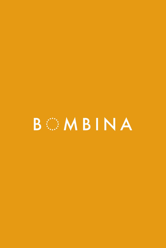# BEEMBINA